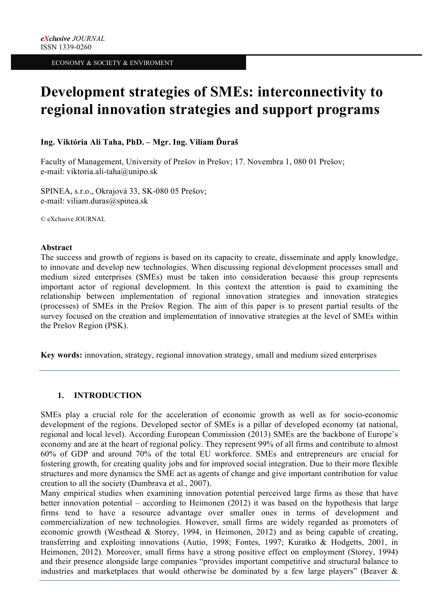# **Development strategies of SMEs: interconnectivity to regional innovation strategies and support programs**

# **Ing. Viktória Ali Taha, PhD. – Mgr. Ing. Viliam Ďuraš**

Faculty of Management, University of Prešov in Prešov; 17. Novembra 1, 080 01 Prešov; e-mail: viktoria.ali-taha@unipo.sk

SPINEA, s.r.o., Okrajová 33, SK-080 05 Prešov; e-mail: viliam.duras@spinea.sk

© eXclusive JOURNAL

#### **Abstract**

The success and growth of regions is based on its capacity to create, disseminate and apply knowledge, to innovate and develop new technologies. When discussing regional development processes small and medium sized enterprises (SMEs) must be taken into consideration because this group represents important actor of regional development. In this context the attention is paid to examining the relationship between implementation of regional innovation strategies and innovation strategies (processes) of SMEs in the Prešov Region. The aim of this paper is to present partial results of the survey focused on the creation and implementation of innovative strategies at the level of SMEs within the Prešov Region (PSK).

**Key words:** innovation, strategy, regional innovation strategy, small and medium sized enterprises

# **1. INTRODUCTION**

SMEs play a crucial role for the acceleration of economic growth as well as for socio-economic development of the regions. Developed sector of SMEs is a pillar of developed economy (at national, regional and local level). According European Commission (2013) SMEs are the backbone of Europe's economy and are at the heart of regional policy. They represent 99% of all firms and contribute to almost 60% of GDP and around 70% of the total EU workforce. SMEs and entrepreneurs are crucial for fostering growth, for creating quality jobs and for improved social integration. Due to their more flexible structures and more dynamics the SME act as agents of change and give important contribution for value creation to all the society (Dumbrava et al., 2007).

Many empirical studies when examining innovation potential perceived large firms as those that have better innovation potential – according to Heimonen (2012) it was based on the hypothesis that large firms tend to have a resource advantage over smaller ones in terms of development and commercialization of new technologies. However, small firms are widely regarded as promoters of economic growth (Westhead & Storey, 1994, in Heimonen, 2012) and as being capable of creating, transferring and exploiting innovations (Autio, 1998; Fontes, 1997; Kuratko & Hodgetts, 2001, in Heimonen, 2012). Moreover, small firms have a strong positive effect on employment (Storey, 1994) and their presence alongside large companies "provides important competitive and structural balance to industries and marketplaces that would otherwise be dominated by a few large players" (Beaver  $\&$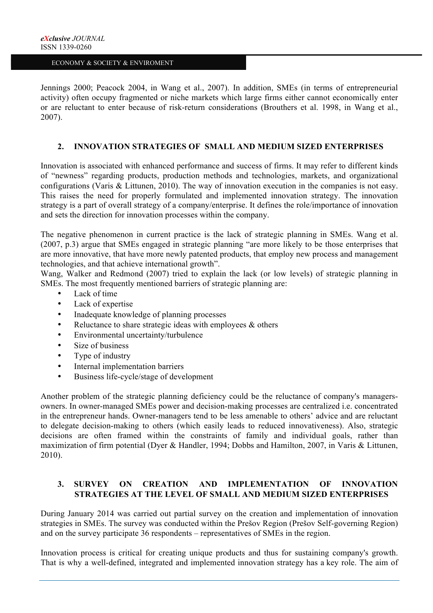Jennings 2000; Peacock 2004, in Wang et al., 2007). In addition, SMEs (in terms of entrepreneurial activity) often occupy fragmented or niche markets which large firms either cannot economically enter or are reluctant to enter because of risk-return considerations (Brouthers et al. 1998, in Wang et al., 2007).

#### **2. INNOVATION STRATEGIES OF SMALL AND MEDIUM SIZED ENTERPRISES**

Innovation is associated with enhanced performance and success of firms. It may refer to different kinds of "newness" regarding products, production methods and technologies, markets, and organizational configurations (Varis & Littunen, 2010). The way of innovation execution in the companies is not easy. This raises the need for properly formulated and implemented innovation strategy. The innovation strategy is a part of overall strategy of a company/enterprise. It defines the role/importance of innovation and sets the direction for innovation processes within the company.

The negative phenomenon in current practice is the lack of strategic planning in SMEs. Wang et al. (2007, p.3) argue that SMEs engaged in strategic planning "are more likely to be those enterprises that are more innovative, that have more newly patented products, that employ new process and management technologies, and that achieve international growth".

Wang, Walker and Redmond (2007) tried to explain the lack (or low levels) of strategic planning in SMEs. The most frequently mentioned barriers of strategic planning are:

- Lack of time
- Lack of expertise
- Inadequate knowledge of planning processes
- Reluctance to share strategic ideas with employees & others
- Environmental uncertainty/turbulence
- Size of business
- Type of industry
- Internal implementation barriers
- Business life-cycle/stage of development

Another problem of the strategic planning deficiency could be the reluctance of company's managersowners. In owner-managed SMEs power and decision-making processes are centralized i.e. concentrated in the entrepreneur hands. Owner-managers tend to be less amenable to others' advice and are reluctant to delegate decision-making to others (which easily leads to reduced innovativeness). Also, strategic decisions are often framed within the constraints of family and individual goals, rather than maximization of firm potential (Dyer & Handler, 1994; Dobbs and Hamilton, 2007, in Varis & Littunen, 2010).

# **3. SURVEY ON CREATION AND IMPLEMENTATION OF INNOVATION STRATEGIES AT THE LEVEL OF SMALL AND MEDIUM SIZED ENTERPRISES**

During January 2014 was carried out partial survey on the creation and implementation of innovation strategies in SMEs. The survey was conducted within the Prešov Region (Prešov Self-governing Region) and on the survey participate 36 respondents – representatives of SMEs in the region.

Innovation process is critical for creating unique products and thus for sustaining company's growth. That is why a well-defined, integrated and implemented innovation strategy has a key role. The aim of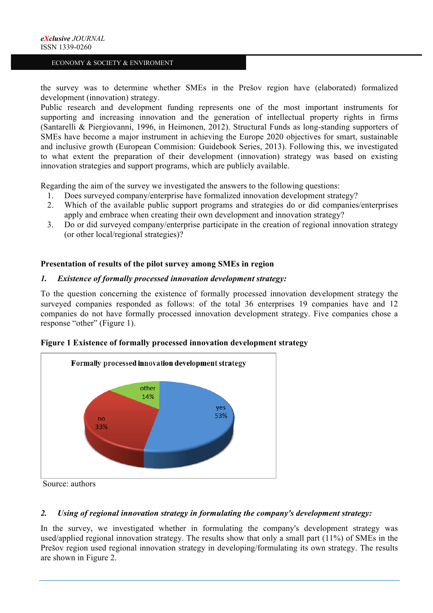the survey was to determine whether SMEs in the Prešov region have (elaborated) formalized development (innovation) strategy.

Public research and development funding represents one of the most important instruments for supporting and increasing innovation and the generation of intellectual property rights in firms (Santarelli & Piergiovanni, 1996, in Heimonen, 2012). Structural Funds as long-standing supporters of SMEs have become a major instrument in achieving the Europe 2020 objectives for smart, sustainable and inclusive growth (European Commision: Guidebook Series, 2013). Following this, we investigated to what extent the preparation of their development (innovation) strategy was based on existing innovation strategies and support programs, which are publicly available.

Regarding the aim of the survey we investigated the answers to the following questions:

- 1. Does surveyed company/enterprise have formalized innovation development strategy?
- 2. Which of the available public support programs and strategies do or did companies/enterprises apply and embrace when creating their own development and innovation strategy?
- 3. Do or did surveyed company/enterprise participate in the creation of regional innovation strategy (or other local/regional strategies)?

#### **Presentation of results of the pilot survey among SMEs in region**

#### *1. Existence of formally processed innovation development strategy:*

To the question concerning the existence of formally processed innovation development strategy the surveyed companies responded as follows: of the total 36 enterprises 19 companies have and 12 companies do not have formally processed innovation development strategy. Five companies chose a response "other" (Figure 1).



#### **Figure 1 Existence of formally processed innovation development strategy**

Source: authors

#### *2. Using of regional innovation strategy in formulating the company's development strategy:*

In the survey, we investigated whether in formulating the company's development strategy was used/applied regional innovation strategy. The results show that only a small part (11%) of SMEs in the Prešov region used regional innovation strategy in developing/formulating its own strategy. The results are shown in Figure 2.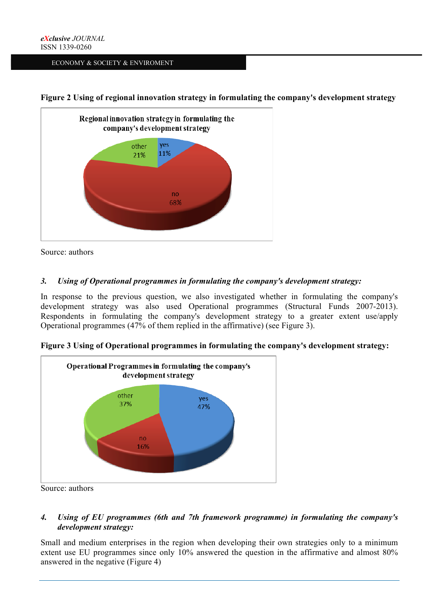



Source: authors

# *3. Using of Operational programmes in formulating the company's development strategy:*

In response to the previous question, we also investigated whether in formulating the company's development strategy was also used Operational programmes (Structural Funds 2007-2013). Respondents in formulating the company's development strategy to a greater extent use/apply Operational programmes (47% of them replied in the affirmative) (see Figure 3).



**Figure 3 Using of Operational programmes in formulating the company's development strategy:**

Source: authors

# *4. Using of EU programmes (6th and 7th framework programme) in formulating the company's development strategy:*

Small and medium enterprises in the region when developing their own strategies only to a minimum extent use EU programmes since only 10% answered the question in the affirmative and almost 80% answered in the negative (Figure 4)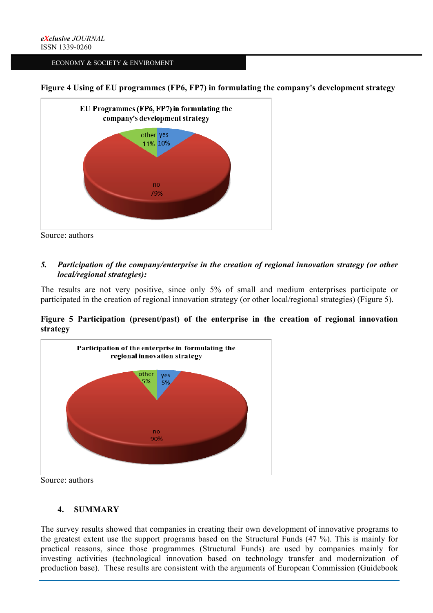**Figure 4 Using of EU programmes (FP6, FP7) in formulating the company's development strategy**



Source: authors

# *5. Participation of the company/enterprise in the creation of regional innovation strategy (or other local/regional strategies):*

The results are not very positive, since only 5% of small and medium enterprises participate or participated in the creation of regional innovation strategy (or other local/regional strategies) (Figure 5).

# **Figure 5 Participation (present/past) of the enterprise in the creation of regional innovation strategy**



Source: authors

# **4. SUMMARY**

The survey results showed that companies in creating their own development of innovative programs to the greatest extent use the support programs based on the Structural Funds (47 %). This is mainly for practical reasons, since those programmes (Structural Funds) are used by companies mainly for investing activities (technological innovation based on technology transfer and modernization of production base). These results are consistent with the arguments of European Commission (Guidebook